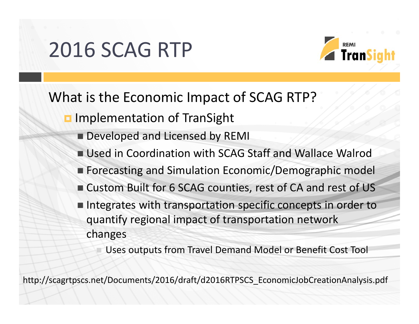## 2016 SCAG RTP



### What is the Economic Impact of SCAG RTP?

- **Implementation of TranSight** 
	- **Developed and Licensed by REMI**
	- Used in Coordination with SCAG Staff and Wallace Walrod
	- Forecasting and Simulation Economic/Demographic model
	- Custom Built for 6 SCAG counties, rest of CA and rest of US
	- $\blacksquare$  Integrates with transportation specific concepts in order to quantify regional impact of transportation network changes

Uses outputs from Travel Demand Model or Benefit Cost Tool

http://scagrtpscs.net/Documents/2016/draft/d2016RTPSCS\_EconomicJobCreationAnalysis.pdf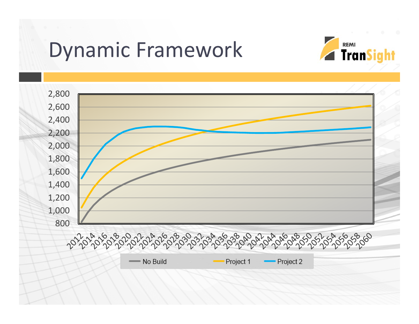## Dynamic Framework



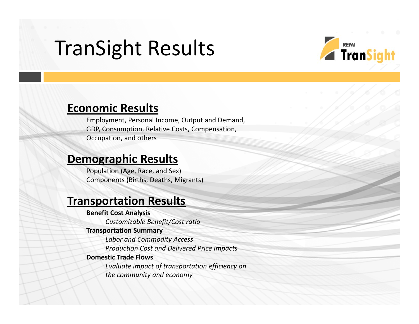## TranSight Results



### **Economic Results**

Employment, Personal Income, Output and Demand, GDP, Consumption, Relative Costs, Compensation, Occupation, and others

### **Demographic Results**

Population (Age, Race, and Sex) Components (Births, Deaths, Migrants)

### **Transportation Results**

#### **Benefit Cost Analysis**

*Customizable Benefit/Cost ratio*

#### **Transportation Summary**

*Labor and Commodity Access Production Cost and Delivered Price Impacts*

#### **Domestic Trade Flows**

*Evaluate impact of transportation efficiency on the community and economy*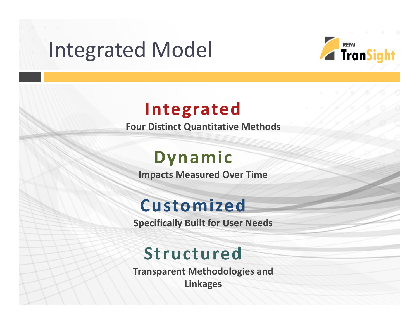## Integrated Model



## **Integrated**

**Four Distinct Quantitative Methods**

## **Dynamic**

**Impacts Measured Over Time**

## **Customized**

**Specifically Built for User Needs**

## **Structured**

**Transparent Methodologies and Linkages**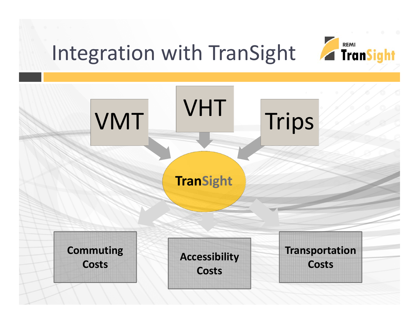# Integration with TranSight



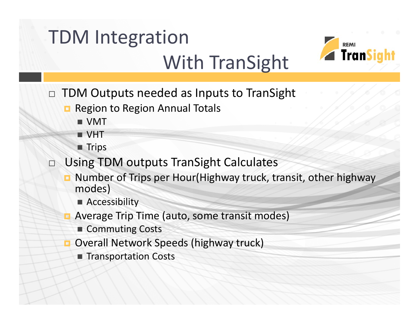# TDM Integration



## With TranSight

- $\Box$  TDM Outputs needed as Inputs to TranSight
	- Region to Region Annual Totals
		- VMT
		- VHT
		- $\blacksquare$  Trips
- □ Using TDM outputs TranSight Calculates
	- **D** Number of Trips per Hour(Highway truck, transit, other highway modes)
		- Accessibility
	- Average Trip Time (auto, some transit modes)
		- Commuting Costs
	- **Overall Network Speeds (highway truck)** 
		- Transportation Costs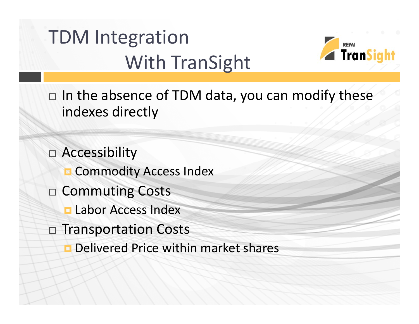# TDM Integration With TranSight



 $\Box$  In the absence of TDM data, you can modify these indexes directly

 Accessibility **R** Commodity Access Index  $\Box$  Commuting Costs **<u>E</u>** Labor Access Index  $\Box$  Transportation Costs **D** Delivered Price within market shares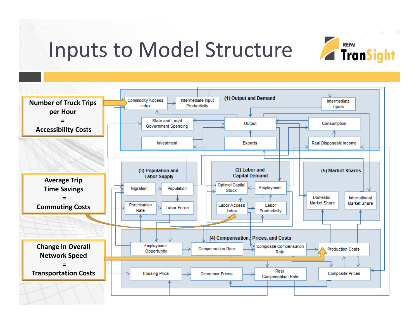## Inputs to Model Structure



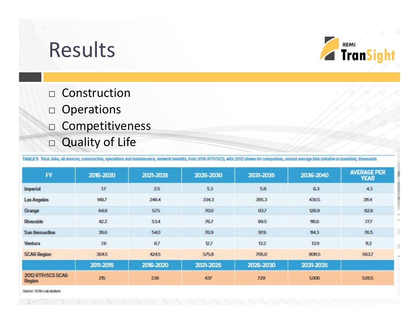# Results



- $\Box$  Construction
- $\Box$  Operations
- $\Box$  Competitiveness
- □ Quality of Life

TABLE 5 Total Jobs, all sources, construction, operations and maintenance, network benefits, from 2016 RTP/SCS, with 2012 shown for comparison, annual average jobs (relative to baseline), thousands

| <b>FY</b>                   | 2016-2020  | 2021-2025 | 2026-2030 | 2031-2035 | 2036-2040 | <b>AVERAGE PER</b><br><b>YEAR</b> |
|-----------------------------|------------|-----------|-----------|-----------|-----------|-----------------------------------|
| Imperial                    | 17         | 2.5       | 5.3       | 58        | 63        | 43                                |
| Los Angeles                 | 148.7      | 248.4     | 334.3     | 395.3     | 430.5     | 311.4                             |
| Orange                      | <b>648</b> | 57.5      | 70.0      | 937       | 126.9     | 826                               |
| Riverside                   | 422        | 53.4      | 767       | 99.5      | 116.6     | $\pi$                             |
| San Bernardino              | 39.6       | 540       | 76.9      | 97.6      | 114.3     | 76.5                              |
| Ventura                     | 7.6        | 87        | 127       | 13.2      | 13.9      | $\mathfrak{m}2$                   |
| <b>SCAG Region</b>          | 3045       | 424.5     | 575.8     | 705.0     | 808.5     | 5637                              |
|                             | 2011-2015  | 2016-2020 | 2021-2025 | 2026-2030 | 2031-2035 |                                   |
| 2012 RTP/SCS SCAG<br>Region | 215        | 236       | 437       | 729       | 1,006     | 528.5                             |

Source: SCAG culculutons